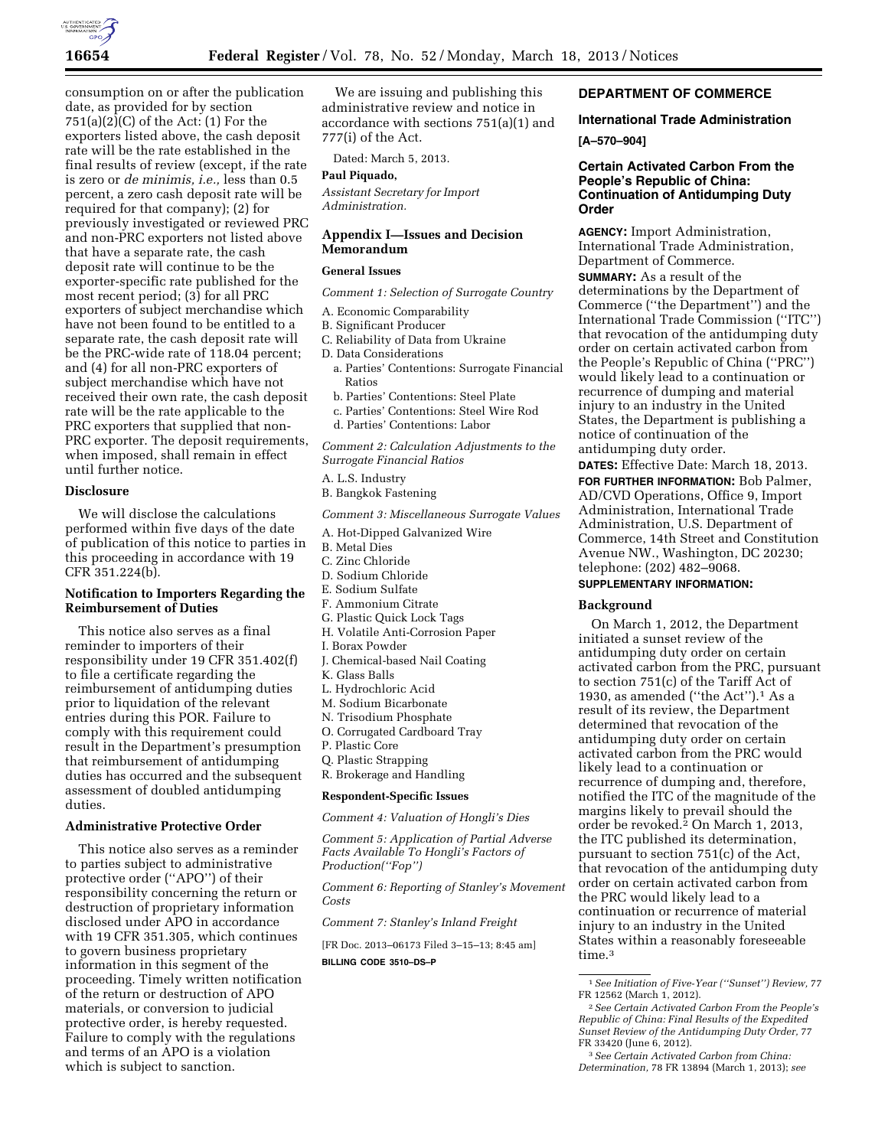

consumption on or after the publication date, as provided for by section  $751(a)(2)(C)$  of the Act:  $(1)$  For the exporters listed above, the cash deposit rate will be the rate established in the final results of review (except, if the rate is zero or *de minimis, i.e.,* less than 0.5 percent, a zero cash deposit rate will be required for that company); (2) for previously investigated or reviewed PRC and non-PRC exporters not listed above that have a separate rate, the cash deposit rate will continue to be the exporter-specific rate published for the most recent period; (3) for all PRC exporters of subject merchandise which have not been found to be entitled to a separate rate, the cash deposit rate will be the PRC-wide rate of 118.04 percent; and (4) for all non-PRC exporters of subject merchandise which have not received their own rate, the cash deposit rate will be the rate applicable to the PRC exporters that supplied that non-PRC exporter. The deposit requirements, when imposed, shall remain in effect until further notice.

### **Disclosure**

We will disclose the calculations performed within five days of the date of publication of this notice to parties in this proceeding in accordance with 19 CFR 351.224(b).

### **Notification to Importers Regarding the Reimbursement of Duties**

This notice also serves as a final reminder to importers of their responsibility under 19 CFR 351.402(f) to file a certificate regarding the reimbursement of antidumping duties prior to liquidation of the relevant entries during this POR. Failure to comply with this requirement could result in the Department's presumption that reimbursement of antidumping duties has occurred and the subsequent assessment of doubled antidumping duties.

#### **Administrative Protective Order**

This notice also serves as a reminder to parties subject to administrative protective order (''APO'') of their responsibility concerning the return or destruction of proprietary information disclosed under APO in accordance with 19 CFR 351.305, which continues to govern business proprietary information in this segment of the proceeding. Timely written notification of the return or destruction of APO materials, or conversion to judicial protective order, is hereby requested. Failure to comply with the regulations and terms of an APO is a violation which is subject to sanction.

We are issuing and publishing this administrative review and notice in accordance with sections 751(a)(1) and 777(i) of the Act.

Dated: March 5, 2013.

## **Paul Piquado,**

*Assistant Secretary for Import Administration.* 

# **Appendix I—Issues and Decision Memorandum**

#### **General Issues**

*Comment 1: Selection of Surrogate Country* 

- A. Economic Comparability
- B. Significant Producer
- C. Reliability of Data from Ukraine
- D. Data Considerations
	- a. Parties' Contentions: Surrogate Financial Ratios
	- b. Parties' Contentions: Steel Plate
	- c. Parties' Contentions: Steel Wire Rod
	- d. Parties' Contentions: Labor

*Comment 2: Calculation Adjustments to the Surrogate Financial Ratios* 

- A. L.S. Industry
- B. Bangkok Fastening

*Comment 3: Miscellaneous Surrogate Values* 

- A. Hot-Dipped Galvanized Wire
- B. Metal Dies
- C. Zinc Chloride
- D. Sodium Chloride
- E. Sodium Sulfate
- F. Ammonium Citrate
- G. Plastic Quick Lock Tags
- H. Volatile Anti-Corrosion Paper
- I. Borax Powder
- J. Chemical-based Nail Coating
- K. Glass Balls
- L. Hydrochloric Acid
- M. Sodium Bicarbonate
- N. Trisodium Phosphate
- O. Corrugated Cardboard Tray
- P. Plastic Core
- Q. Plastic Strapping
- R. Brokerage and Handling

#### **Respondent-Specific Issues**

*Comment 4: Valuation of Hongli's Dies* 

*Comment 5: Application of Partial Adverse Facts Available To Hongli's Factors of Production(''Fop'')* 

*Comment 6: Reporting of Stanley's Movement Costs* 

*Comment 7: Stanley's Inland Freight* 

[FR Doc. 2013–06173 Filed 3–15–13; 8:45 am] **BILLING CODE 3510–DS–P** 

# **DEPARTMENT OF COMMERCE**

# **International Trade Administration**

### **[A–570–904]**

# **Certain Activated Carbon From the People's Republic of China: Continuation of Antidumping Duty Order**

**AGENCY:** Import Administration, International Trade Administration, Department of Commerce. **SUMMARY:** As a result of the determinations by the Department of Commerce (''the Department'') and the International Trade Commission (''ITC'') that revocation of the antidumping duty order on certain activated carbon from the People's Republic of China (''PRC'') would likely lead to a continuation or recurrence of dumping and material injury to an industry in the United States, the Department is publishing a notice of continuation of the antidumping duty order.

**DATES:** Effective Date: March 18, 2013. **FOR FURTHER INFORMATION:** Bob Palmer, AD/CVD Operations, Office 9, Import Administration, International Trade Administration, U.S. Department of Commerce, 14th Street and Constitution Avenue NW., Washington, DC 20230; telephone: (202) 482–9068.

# **SUPPLEMENTARY INFORMATION:**

#### **Background**

On March 1, 2012, the Department initiated a sunset review of the antidumping duty order on certain activated carbon from the PRC, pursuant to section 751(c) of the Tariff Act of 1930, as amended (''the Act'').1 As a result of its review, the Department determined that revocation of the antidumping duty order on certain activated carbon from the PRC would likely lead to a continuation or recurrence of dumping and, therefore, notified the ITC of the magnitude of the margins likely to prevail should the order be revoked.2 On March 1, 2013, the ITC published its determination, pursuant to section 751(c) of the Act, that revocation of the antidumping duty order on certain activated carbon from the PRC would likely lead to a continuation or recurrence of material injury to an industry in the United States within a reasonably foreseeable time.<sup>3</sup>

<sup>1</sup>*See Initiation of Five-Year (''Sunset'') Review,* 77 FR 12562 (March 1, 2012).

<sup>2</sup>*See Certain Activated Carbon From the People's Republic of China: Final Results of the Expedited Sunset Review of the Antidumping Duty Order,* 77 FR 33420 (June 6, 2012).

<sup>3</sup>*See Certain Activated Carbon from China: Determination,* 78 FR 13894 (March 1, 2013); *see*